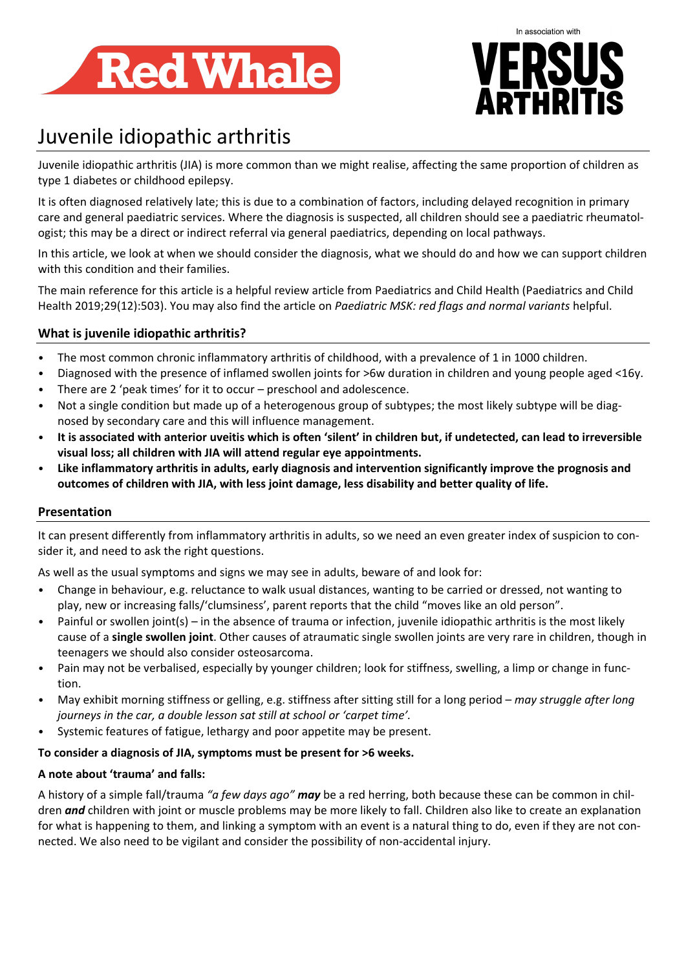



# Juvenile idiopathic arthritis

Juvenile idiopathic arthritis (JIA) is more common than we might realise, affecting the same proportion of children as type 1 diabetes or childhood epilepsy.

It is often diagnosed relatively late; this is due to a combination of factors, including delayed recognition in primary care and general paediatric services. Where the diagnosis is suspected, all children should see a paediatric rheumatologist; this may be a direct or indirect referral via general paediatrics, depending on local pathways.

In this article, we look at when we should consider the diagnosis, what we should do and how we can support children with this condition and their families.

The main reference for this article is a helpful review article from Paediatrics and Child Health (Paediatrics and Child Health 2019;29(12):503). You may also find the article on *Paediatric MSK: red flags and normal variants* helpful.

# **What is juvenile idiopathic arthritis?**

- The most common chronic inflammatory arthritis of childhood, with a prevalence of 1 in 1000 children.
- Diagnosed with the presence of inflamed swollen joints for >6w duration in children and young people aged <16y.
- There are 2 'peak times' for it to occur preschool and adolescence.
- Not a single condition but made up of a heterogenous group of subtypes; the most likely subtype will be diagnosed by secondary care and this will influence management.
- **It is associated with anterior uveitis which is often 'silent' in children but, if undetected, can lead to irreversible visual loss; all children with JIA will attend regular eye appointments.**
- **Like inflammatory arthritis in adults, early diagnosis and intervention significantly improve the prognosis and outcomes of children with JIA, with less joint damage, less disability and better quality of life.**

#### **Presentation**

It can present differently from inflammatory arthritis in adults, so we need an even greater index of suspicion to consider it, and need to ask the right questions.

As well as the usual symptoms and signs we may see in adults, beware of and look for:

- Change in behaviour, e.g. reluctance to walk usual distances, wanting to be carried or dressed, not wanting to play, new or increasing falls/'clumsiness', parent reports that the child "moves like an old person".
- Painful or swollen joint(s) in the absence of trauma or infection, juvenile idiopathic arthritis is the most likely cause of a **single swollen joint**. Other causes of atraumatic single swollen joints are very rare in children, though in teenagers we should also consider osteosarcoma.
- Pain may not be verbalised, especially by younger children; look for stiffness, swelling, a limp or change in function.
- May exhibit morning stiffness or gelling, e.g. stiffness after sitting still for a long period *may struggle after long journeys in the car, a double lesson sat still at school or 'carpet time'.*
- Systemic features of fatigue, lethargy and poor appetite may be present.

#### **To consider a diagnosis of JIA, symptoms must be present for >6 weeks.**

#### **A note about 'trauma' and falls:**

A history of a simple fall/trauma *"a few days ago" may* be a red herring, both because these can be common in children *and* children with joint or muscle problems may be more likely to fall. Children also like to create an explanation for what is happening to them, and linking a symptom with an event is a natural thing to do, even if they are not connected. We also need to be vigilant and consider the possibility of non-accidental injury.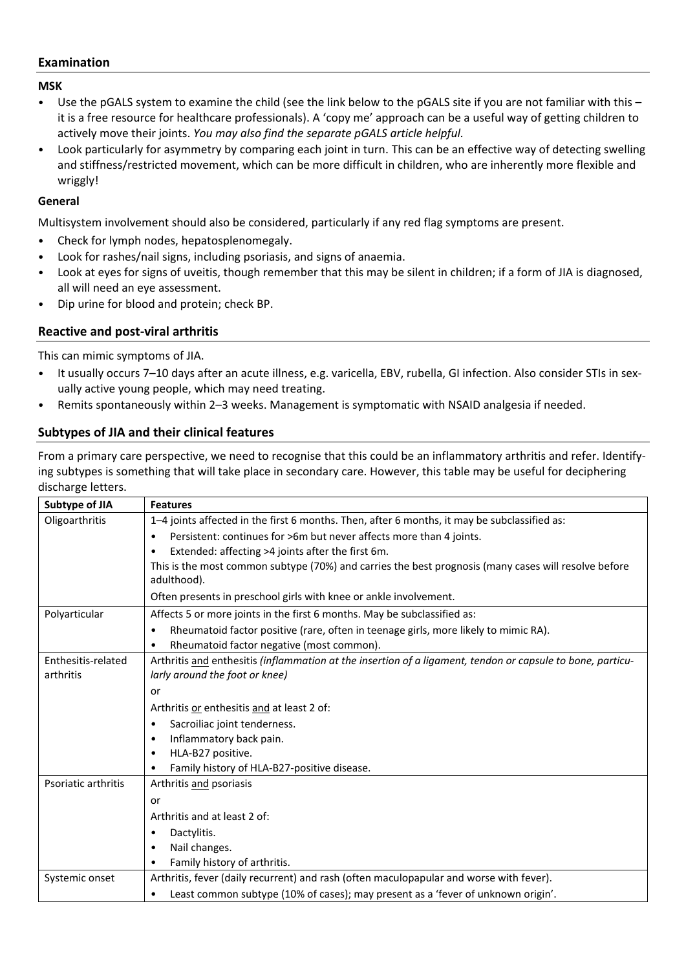## **Examination**

**MSK**

- Use the pGALS system to examine the child (see the link below to the pGALS site if you are not familiar with this it is a free resource for healthcare professionals). A 'copy me' approach can be a useful way of getting children to actively move their joints. *You may also find the separate pGALS article helpful.*
- Look particularly for asymmetry by comparing each joint in turn. This can be an effective way of detecting swelling and stiffness/restricted movement, which can be more difficult in children, who are inherently more flexible and wriggly!

#### **General**

Multisystem involvement should also be considered, particularly if any red flag symptoms are present.

- Check for lymph nodes, hepatosplenomegaly.
- Look for rashes/nail signs, including psoriasis, and signs of anaemia.
- Look at eyes for signs of uveitis, though remember that this may be silent in children; if a form of JIA is diagnosed, all will need an eye assessment.
- Dip urine for blood and protein; check BP.

## **Reactive and post-viral arthritis**

This can mimic symptoms of JIA.

- It usually occurs 7–10 days after an acute illness, e.g. varicella, EBV, rubella, GI infection. Also consider STIs in sexually active young people, which may need treating.
- Remits spontaneously within 2–3 weeks. Management is symptomatic with NSAID analgesia if needed.

# **Subtypes of JIA and their clinical features**

From a primary care perspective, we need to recognise that this could be an inflammatory arthritis and refer. Identifying subtypes is something that will take place in secondary care. However, this table may be useful for deciphering discharge letters.

| Subtype of JIA      | <b>Features</b>                                                                                            |
|---------------------|------------------------------------------------------------------------------------------------------------|
| Oligoarthritis      | 1-4 joints affected in the first 6 months. Then, after 6 months, it may be subclassified as:               |
|                     | Persistent: continues for >6m but never affects more than 4 joints.<br>$\bullet$                           |
|                     | Extended: affecting >4 joints after the first 6m.<br>٠                                                     |
|                     | This is the most common subtype (70%) and carries the best prognosis (many cases will resolve before       |
|                     | adulthood).                                                                                                |
|                     | Often presents in preschool girls with knee or ankle involvement.                                          |
| Polyarticular       | Affects 5 or more joints in the first 6 months. May be subclassified as:                                   |
|                     | Rheumatoid factor positive (rare, often in teenage girls, more likely to mimic RA).<br>$\bullet$           |
|                     | Rheumatoid factor negative (most common).<br>$\bullet$                                                     |
| Enthesitis-related  | Arthritis and enthesitis (inflammation at the insertion of a ligament, tendon or capsule to bone, particu- |
| arthritis           | larly around the foot or knee)                                                                             |
|                     | or                                                                                                         |
|                     | Arthritis or enthesitis and at least 2 of:                                                                 |
|                     | Sacroiliac joint tenderness.<br>$\bullet$                                                                  |
|                     | Inflammatory back pain.<br>٠                                                                               |
|                     | HLA-B27 positive.<br>٠                                                                                     |
|                     | Family history of HLA-B27-positive disease.                                                                |
| Psoriatic arthritis | Arthritis and psoriasis                                                                                    |
|                     | or                                                                                                         |
|                     | Arthritis and at least 2 of:                                                                               |
|                     | Dactylitis.<br>٠                                                                                           |
|                     | Nail changes.<br>$\bullet$                                                                                 |
|                     | Family history of arthritis.                                                                               |
| Systemic onset      | Arthritis, fever (daily recurrent) and rash (often maculopapular and worse with fever).                    |
|                     | Least common subtype (10% of cases); may present as a 'fever of unknown origin'.<br>٠                      |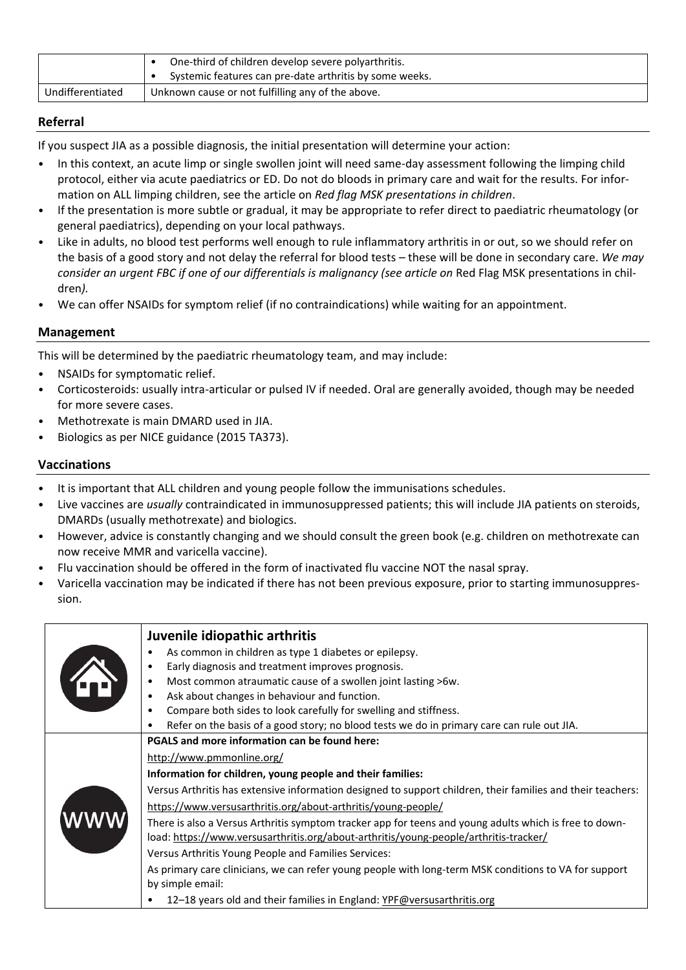|                  | One-third of children develop severe polyarthritis.<br>Systemic features can pre-date arthritis by some weeks. |
|------------------|----------------------------------------------------------------------------------------------------------------|
| Undifferentiated | Unknown cause or not fulfilling any of the above.                                                              |

# **Referral**

If you suspect JIA as a possible diagnosis, the initial presentation will determine your action:

- In this context, an acute limp or single swollen joint will need same-day assessment following the limping child protocol, either via acute paediatrics or ED. Do not do bloods in primary care and wait for the results. For information on ALL limping children, see the article on *Red flag MSK presentations in children*.
- If the presentation is more subtle or gradual, it may be appropriate to refer direct to paediatric rheumatology (or general paediatrics), depending on your local pathways.
- Like in adults, no blood test performs well enough to rule inflammatory arthritis in or out, so we should refer on the basis of a good story and not delay the referral for blood tests – these will be done in secondary care. *We may consider an urgent FBC if one of our differentials is malignancy (see article on* Red Flag MSK presentations in children*).*
- We can offer NSAIDs for symptom relief (if no contraindications) while waiting for an appointment.

#### **Management**

This will be determined by the paediatric rheumatology team, and may include:

- NSAIDs for symptomatic relief.
- Corticosteroids: usually intra-articular or pulsed IV if needed. Oral are generally avoided, though may be needed for more severe cases.
- Methotrexate is main DMARD used in JIA.
- Biologics as per NICE guidance (2015 TA373).

#### **Vaccinations**

- It is important that ALL children and young people follow the immunisations schedules.
- Live vaccines are *usually* contraindicated in immunosuppressed patients; this will include JIA patients on steroids, DMARDs (usually methotrexate) and biologics.
- However, advice is constantly changing and we should consult the green book (e.g. children on methotrexate can now receive MMR and varicella vaccine).
- Flu vaccination should be offered in the form of inactivated flu vaccine NOT the nasal spray.
- Varicella vaccination may be indicated if there has not been previous exposure, prior to starting immunosuppression.

|     | Juvenile idiopathic arthritis<br>As common in children as type 1 diabetes or epilepsy.<br>Early diagnosis and treatment improves prognosis.<br>Most common atraumatic cause of a swollen joint lasting >6w.<br>Ask about changes in behaviour and function. |
|-----|-------------------------------------------------------------------------------------------------------------------------------------------------------------------------------------------------------------------------------------------------------------|
|     | Compare both sides to look carefully for swelling and stiffness.                                                                                                                                                                                            |
|     | Refer on the basis of a good story; no blood tests we do in primary care can rule out JIA.                                                                                                                                                                  |
|     | PGALS and more information can be found here:                                                                                                                                                                                                               |
|     | http://www.pmmonline.org/                                                                                                                                                                                                                                   |
| www | Information for children, young people and their families:                                                                                                                                                                                                  |
|     | Versus Arthritis has extensive information designed to support children, their families and their teachers:                                                                                                                                                 |
|     | https://www.versusarthritis.org/about-arthritis/young-people/                                                                                                                                                                                               |
|     | There is also a Versus Arthritis symptom tracker app for teens and young adults which is free to down-<br>load: https://www.versusarthritis.org/about-arthritis/young-people/arthritis-tracker/                                                             |
|     | Versus Arthritis Young People and Families Services:                                                                                                                                                                                                        |
|     | As primary care clinicians, we can refer young people with long-term MSK conditions to VA for support<br>by simple email:                                                                                                                                   |
|     | 12-18 years old and their families in England: YPF@versusarthritis.org                                                                                                                                                                                      |
|     |                                                                                                                                                                                                                                                             |